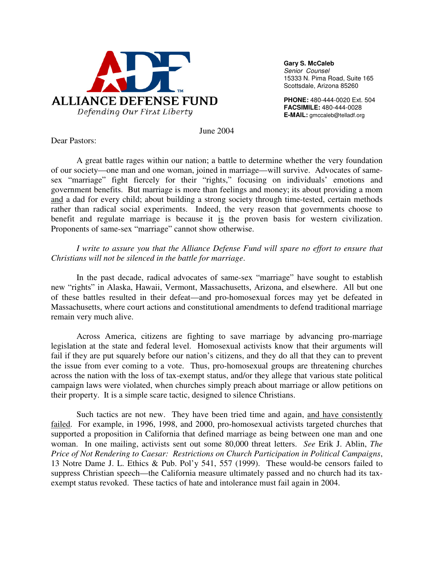

**Gary S. McCaleb** *Senior Counsel* 15333 N. Pima Road, Suite 165 Scottsdale, Arizona 85260

**PHONE:** 480-444-0020 Ext. 504 **FACSIMILE:** 480-444-0028 **E-MAIL:** gmccaleb@telladf.org

June 2004

Dear Pastors:

A great battle rages within our nation; a battle to determine whether the very foundation of our society—one man and one woman, joined in marriage—will survive. Advocates of samesex "marriage" fight fiercely for their "rights," focusing on individuals' emotions and government benefits. But marriage is more than feelings and money; its about providing a mom and a dad for every child; about building a strong society through time-tested, certain methods rather than radical social experiments. Indeed, the very reason that governments choose to benefit and regulate marriage is because it is the proven basis for western civilization. Proponents of same-sex "marriage" cannot show otherwise.

*I write to assure you that the Alliance Defense Fund will spare no effort to ensure that Christians will not be silenced in the battle for marriage*.

In the past decade, radical advocates of same-sex "marriage" have sought to establish new "rights" in Alaska, Hawaii, Vermont, Massachusetts, Arizona, and elsewhere. All but one of these battles resulted in their defeat—and pro-homosexual forces may yet be defeated in Massachusetts, where court actions and constitutional amendments to defend traditional marriage remain very much alive.

Across America, citizens are fighting to save marriage by advancing pro-marriage legislation at the state and federal level. Homosexual activists know that their arguments will fail if they are put squarely before our nation's citizens, and they do all that they can to prevent the issue from ever coming to a vote. Thus, pro-homosexual groups are threatening churches across the nation with the loss of tax-exempt status, and/or they allege that various state political campaign laws were violated, when churches simply preach about marriage or allow petitions on their property. It is a simple scare tactic, designed to silence Christians.

Such tactics are not new. They have been tried time and again, and have consistently failed. For example, in 1996, 1998, and 2000, pro-homosexual activists targeted churches that supported a proposition in California that defined marriage as being between one man and one woman. In one mailing, activists sent out some 80,000 threat letters. *See* Erik J. Ablin, *The Price of Not Rendering to Caesar: Restrictions on Church Participation in Political Campaigns*, 13 Notre Dame J. L. Ethics & Pub. Pol'y 541, 557 (1999). These would-be censors failed to suppress Christian speech—the California measure ultimately passed and no church had its taxexempt status revoked. These tactics of hate and intolerance must fail again in 2004.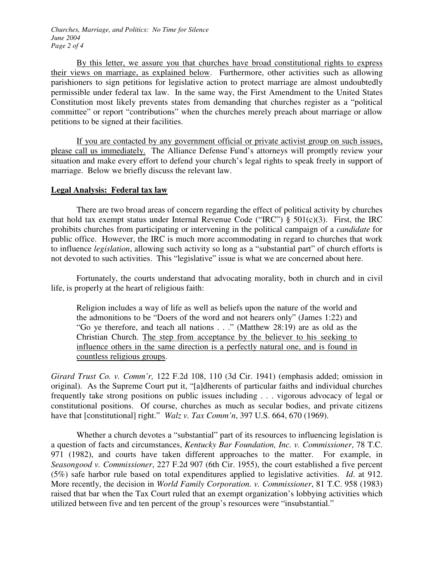By this letter, we assure you that churches have broad constitutional rights to express their views on marriage, as explained below. Furthermore, other activities such as allowing parishioners to sign petitions for legislative action to protect marriage are almost undoubtedly permissible under federal tax law. In the same way, the First Amendment to the United States Constitution most likely prevents states from demanding that churches register as a "political committee" or report "contributions" when the churches merely preach about marriage or allow petitions to be signed at their facilities.

If you are contacted by any government official or private activist group on such issues, please call us immediately. The Alliance Defense Fund's attorneys will promptly review your situation and make every effort to defend your church's legal rights to speak freely in support of marriage. Below we briefly discuss the relevant law.

## **Legal Analysis: Federal tax law**

There are two broad areas of concern regarding the effect of political activity by churches that hold tax exempt status under Internal Revenue Code ("IRC")  $\S$  501(c)(3). First, the IRC prohibits churches from participating or intervening in the political campaign of a *candidate* for public office. However, the IRC is much more accommodating in regard to churches that work to influence *legislation*, allowing such activity so long as a "substantial part" of church efforts is not devoted to such activities. This "legislative" issue is what we are concerned about here.

Fortunately, the courts understand that advocating morality, both in church and in civil life, is properly at the heart of religious faith:

Religion includes a way of life as well as beliefs upon the nature of the world and the admonitions to be "Doers of the word and not hearers only" (James 1:22) and "Go ye therefore, and teach all nations . . ." (Matthew 28:19) are as old as the Christian Church. The step from acceptance by the believer to his seeking to influence others in the same direction is a perfectly natural one, and is found in countless religious groups.

*Girard Trust Co. v. Comm'r,* 122 F.2d 108, 110 (3d Cir. 1941) (emphasis added; omission in original). As the Supreme Court put it, "[a]dherents of particular faiths and individual churches frequently take strong positions on public issues including . . . vigorous advocacy of legal or constitutional positions. Of course, churches as much as secular bodies, and private citizens have that [constitutional] right." *Walz v. Tax Comm'n*, 397 U.S. 664, 670 (1969).

Whether a church devotes a "substantial" part of its resources to influencing legislation is a question of facts and circumstances, *Kentucky Bar Foundation, Inc. v. Commissioner*, 78 T.C. 971 (1982), and courts have taken different approaches to the matter. For example, in *Seasongood v. Commissioner*, 227 F.2d 907 (6th Cir. 1955), the court established a five percent (5%) safe harbor rule based on total expenditures applied to legislative activities. *Id*. at 912. More recently, the decision in *World Family Corporation. v. Commissioner*, 81 T.C. 958 (1983) raised that bar when the Tax Court ruled that an exempt organization's lobbying activities which utilized between five and ten percent of the group's resources were "insubstantial."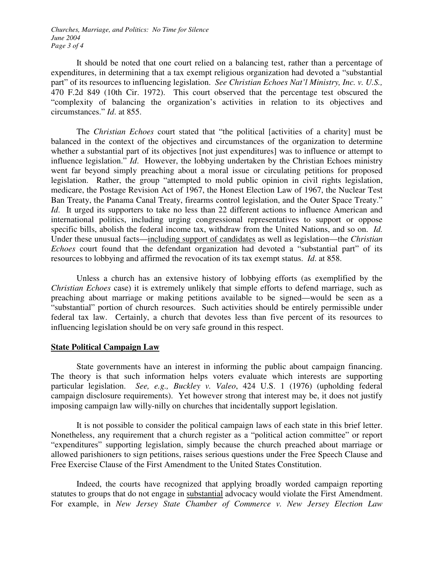*Churches, Marriage, and Politics: No Time for Silence June 2004 Page 3 of 4*

It should be noted that one court relied on a balancing test, rather than a percentage of expenditures, in determining that a tax exempt religious organization had devoted a "substantial part" of its resources to influencing legislation. *See Christian Echoes Nat'l Ministry, Inc. v. U.S.,* 470 F.2d 849 (10th Cir. 1972). This court observed that the percentage test obscured the "complexity of balancing the organization's activities in relation to its objectives and circumstances." *Id*. at 855.

The *Christian Echoes* court stated that "the political [activities of a charity] must be balanced in the context of the objectives and circumstances of the organization to determine whether a substantial part of its objectives [not just expenditures] was to influence or attempt to influence legislation." *Id*. However, the lobbying undertaken by the Christian Echoes ministry went far beyond simply preaching about a moral issue or circulating petitions for proposed legislation. Rather, the group "attempted to mold public opinion in civil rights legislation, medicare, the Postage Revision Act of 1967, the Honest Election Law of 1967, the Nuclear Test Ban Treaty, the Panama Canal Treaty, firearms control legislation, and the Outer Space Treaty." *Id.* It urged its supporters to take no less than 22 different actions to influence American and international politics, including urging congressional representatives to support or oppose specific bills, abolish the federal income tax, withdraw from the United Nations, and so on. *Id.* Under these unusual facts—including support of candidates as well as legislation—the *Christian Echoes* court found that the defendant organization had devoted a "substantial part" of its resources to lobbying and affirmed the revocation of its tax exempt status. *Id*. at 858.

Unless a church has an extensive history of lobbying efforts (as exemplified by the *Christian Echoes* case) it is extremely unlikely that simple efforts to defend marriage, such as preaching about marriage or making petitions available to be signed—would be seen as a "substantial" portion of church resources. Such activities should be entirely permissible under federal tax law. Certainly, a church that devotes less than five percent of its resources to influencing legislation should be on very safe ground in this respect.

## **State Political Campaign Law**

State governments have an interest in informing the public about campaign financing. The theory is that such information helps voters evaluate which interests are supporting particular legislation. *See, e.g., Buckley v. Valeo*, 424 U.S. 1 (1976) (upholding federal campaign disclosure requirements). Yet however strong that interest may be, it does not justify imposing campaign law willy-nilly on churches that incidentally support legislation.

It is not possible to consider the political campaign laws of each state in this brief letter. Nonetheless, any requirement that a church register as a "political action committee" or report "expenditures" supporting legislation, simply because the church preached about marriage or allowed parishioners to sign petitions, raises serious questions under the Free Speech Clause and Free Exercise Clause of the First Amendment to the United States Constitution.

Indeed, the courts have recognized that applying broadly worded campaign reporting statutes to groups that do not engage in substantial advocacy would violate the First Amendment. For example, in *New Jersey State Chamber of Commerce v. New Jersey Election Law*